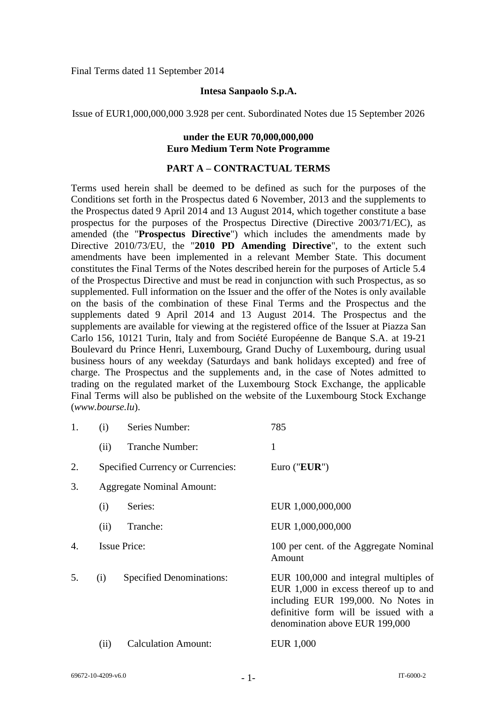Final Terms dated 11 September 2014

#### **Intesa Sanpaolo S.p.A.**

Issue of EUR1,000,000,000 3.928 per cent. Subordinated Notes due 15 September 2026

## **under the EUR 70,000,000,000 Euro Medium Term Note Programme**

#### **PART A – CONTRACTUAL TERMS**

Terms used herein shall be deemed to be defined as such for the purposes of the Conditions set forth in the Prospectus dated 6 November, 2013 and the supplements to the Prospectus dated 9 April 2014 and 13 August 2014, which together constitute a base prospectus for the purposes of the Prospectus Directive (Directive 2003/71/EC), as amended (the "**Prospectus Directive**") which includes the amendments made by Directive 2010/73/EU, the "**2010 PD Amending Directive**", to the extent such amendments have been implemented in a relevant Member State. This document constitutes the Final Terms of the Notes described herein for the purposes of Article 5.4 of the Prospectus Directive and must be read in conjunction with such Prospectus, as so supplemented. Full information on the Issuer and the offer of the Notes is only available on the basis of the combination of these Final Terms and the Prospectus and the supplements dated 9 April 2014 and 13 August 2014. The Prospectus and the supplements are available for viewing at the registered office of the Issuer at Piazza San Carlo 156, 10121 Turin, Italy and from Société Européenne de Banque S.A. at 19-21 Boulevard du Prince Henri, Luxembourg, Grand Duchy of Luxembourg, during usual business hours of any weekday (Saturdays and bank holidays excepted) and free of charge. The Prospectus and the supplements and, in the case of Notes admitted to trading on the regulated market of the Luxembourg Stock Exchange, the applicable Final Terms will also be published on the website of the Luxembourg Stock Exchange (*www.bourse.lu*).

| 1. | (i)                              | Series Number:                           | 785                                                                                                                                                                                               |
|----|----------------------------------|------------------------------------------|---------------------------------------------------------------------------------------------------------------------------------------------------------------------------------------------------|
|    | (ii)                             | Tranche Number:                          | 1                                                                                                                                                                                                 |
| 2. |                                  | <b>Specified Currency or Currencies:</b> | Euro (" $EUR$ ")                                                                                                                                                                                  |
| 3. | <b>Aggregate Nominal Amount:</b> |                                          |                                                                                                                                                                                                   |
|    | (i)                              | Series:                                  | EUR 1,000,000,000                                                                                                                                                                                 |
|    | (ii)                             | Tranche:                                 | EUR 1,000,000,000                                                                                                                                                                                 |
| 4. |                                  | <b>Issue Price:</b>                      | 100 per cent. of the Aggregate Nominal<br>Amount                                                                                                                                                  |
| 5. | (i)                              | <b>Specified Denominations:</b>          | EUR 100,000 and integral multiples of<br>EUR $1,000$ in excess thereof up to and<br>including EUR 199,000. No Notes in<br>definitive form will be issued with a<br>denomination above EUR 199,000 |
|    | (ii)                             | <b>Calculation Amount:</b>               | EUR 1,000                                                                                                                                                                                         |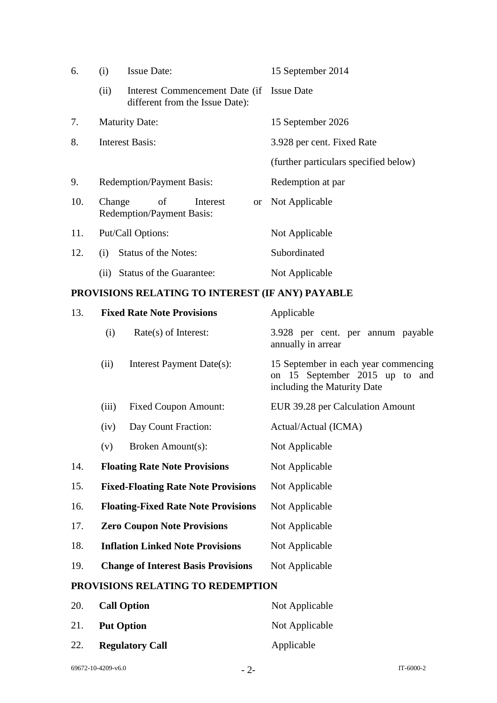| 6.  | (i)                   | <b>Issue Date:</b>                                                           |          |                   | 15 September 2014                     |
|-----|-----------------------|------------------------------------------------------------------------------|----------|-------------------|---------------------------------------|
|     | (ii)                  | Interest Commencement Date (if Issue Date<br>different from the Issue Date): |          |                   |                                       |
| 7.  | <b>Maturity Date:</b> |                                                                              |          | 15 September 2026 |                                       |
| 8.  |                       | <b>Interest Basis:</b>                                                       |          |                   | 3.928 per cent. Fixed Rate            |
|     |                       |                                                                              |          |                   | (further particulars specified below) |
| 9.  |                       | <b>Redemption/Payment Basis:</b>                                             |          |                   | Redemption at par                     |
| 10. | Change                | of<br><b>Redemption/Payment Basis:</b>                                       | Interest |                   | or Not Applicable                     |
| 11. |                       | Put/Call Options:                                                            |          |                   | Not Applicable                        |
| 12. | (i)                   | Status of the Notes:                                                         |          |                   | Subordinated                          |
|     | (11)                  | Status of the Guarantee:                                                     |          |                   | Not Applicable                        |

# **PROVISIONS RELATING TO INTEREST (IF ANY) PAYABLE**

| 13.                               |                                    | <b>Fixed Rate Note Provisions</b>          | Applicable                                                                                            |
|-----------------------------------|------------------------------------|--------------------------------------------|-------------------------------------------------------------------------------------------------------|
|                                   | (i)                                | $Rate(s)$ of Interest:                     | 3.928 per cent. per annum payable<br>annually in arrear                                               |
|                                   | (ii)                               | Interest Payment Date(s):                  | 15 September in each year commencing<br>on 15 September 2015 up to and<br>including the Maturity Date |
|                                   | (iii)                              | <b>Fixed Coupon Amount:</b>                | EUR 39.28 per Calculation Amount                                                                      |
|                                   | (iv)                               | Day Count Fraction:                        | Actual/Actual (ICMA)                                                                                  |
|                                   | (v)                                | Broken Amount(s):                          | Not Applicable                                                                                        |
| 14.                               |                                    | <b>Floating Rate Note Provisions</b>       | Not Applicable                                                                                        |
| 15.                               |                                    | <b>Fixed-Floating Rate Note Provisions</b> | Not Applicable                                                                                        |
| 16.                               |                                    | <b>Floating-Fixed Rate Note Provisions</b> | Not Applicable                                                                                        |
| 17.                               | <b>Zero Coupon Note Provisions</b> |                                            | Not Applicable                                                                                        |
| 18.                               |                                    | <b>Inflation Linked Note Provisions</b>    | Not Applicable                                                                                        |
| 19.                               |                                    | <b>Change of Interest Basis Provisions</b> | Not Applicable                                                                                        |
| PROVISIONS RELATING TO REDEMPTION |                                    |                                            |                                                                                                       |
| 20.                               |                                    | <b>Call Option</b>                         | Not Applicable                                                                                        |

| 21. | <b>Put Option</b>      | Not Applicable |
|-----|------------------------|----------------|
| 22. | <b>Regulatory Call</b> | Applicable     |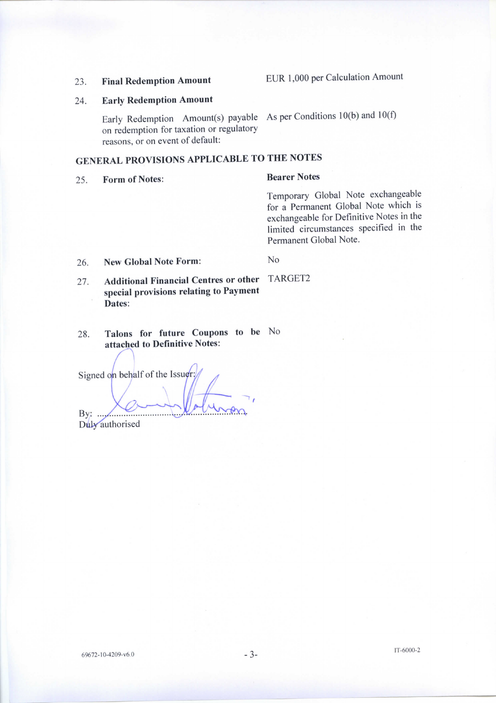#### **Final Redemption Amount** 23.

EUR 1,000 per Calculation Amount

#### **Early Redemption Amount** 24.

Early Redemption Amount(s) payable As per Conditions 10(b) and 10(f) on redemption for taxation or regulatory reasons, or on event of default:

# **GENERAL PROVISIONS APPLICABLE TO THE NOTES**

**Form of Notes:** 25.

#### **Bearer Notes**

Temporary Global Note exchangeable for a Permanent Global Note which is exchangeable for Definitive Notes in the limited circumstances specified in the Permanent Global Note.

**New Global Note Form:** 26.

TARGET2

No

- **Additional Financial Centres or other** 27. special provisions relating to Payment Dates:
- Talons for future Coupons to be No 28. attached to Definitive Notes:

Signed on behalf of the Issuer:

By:  $...,$ 

Duly authorised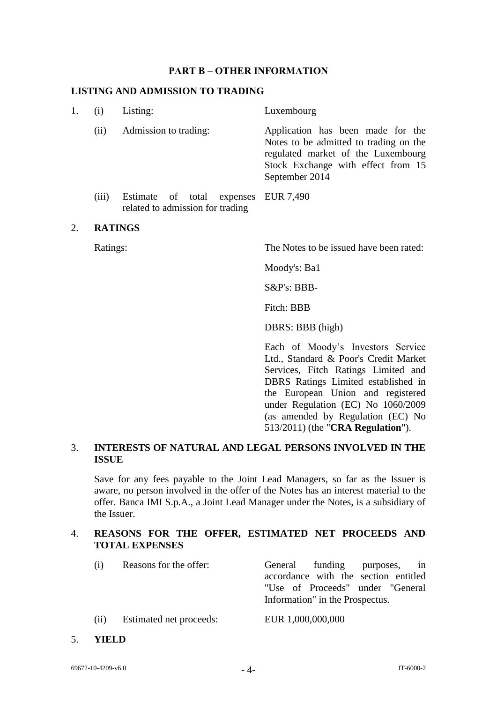#### **PART B – OTHER INFORMATION**

#### **LISTING AND ADMISSION TO TRADING**

| 1. |       | Listing:                                                                 | Luxembourg                                                                                                                                                                |
|----|-------|--------------------------------------------------------------------------|---------------------------------------------------------------------------------------------------------------------------------------------------------------------------|
|    | (i)   | Admission to trading:                                                    | Application has been made for the<br>Notes to be admitted to trading on the<br>regulated market of the Luxembourg<br>Stock Exchange with effect from 15<br>September 2014 |
|    | (iii) | Estimate of total expenses EUR 7,490<br>related to admission for trading |                                                                                                                                                                           |

#### 2. **RATINGS**

Ratings: The Notes to be issued have been rated:

Moody's: Ba1

S&P's: BBB-

Fitch: BBB

DBRS: BBB (high)

Each of Moody's Investors Service Ltd., Standard & Poor's Credit Market Services, Fitch Ratings Limited and DBRS Ratings Limited established in the European Union and registered under Regulation (EC) No 1060/2009 (as amended by Regulation (EC) No 513/2011) (the "**CRA Regulation**").

## 3. **INTERESTS OF NATURAL AND LEGAL PERSONS INVOLVED IN THE ISSUE**

Save for any fees payable to the Joint Lead Managers, so far as the Issuer is aware, no person involved in the offer of the Notes has an interest material to the offer. Banca IMI S.p.A., a Joint Lead Manager under the Notes, is a subsidiary of the Issuer.

#### 4. **REASONS FOR THE OFFER, ESTIMATED NET PROCEEDS AND TOTAL EXPENSES**

| (i) | Reasons for the offer:        | General funding purposes, in         |
|-----|-------------------------------|--------------------------------------|
|     |                               | accordance with the section entitled |
|     |                               | "Use of Proceeds" under "General"    |
|     |                               | Information" in the Prospectus.      |
|     | $(i)$ Ferimated net proceeds: | ELIR 1 000 000 000                   |

- (ii) Estimated net proceeds: EUR 1,000,000,000
- 5. **YIELD**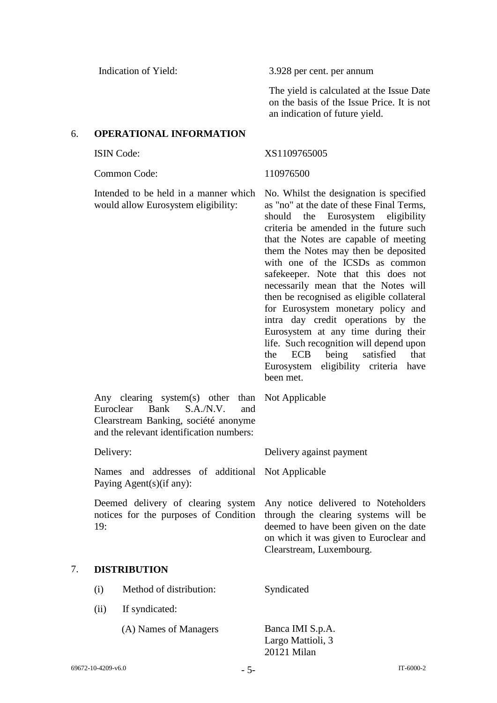Indication of Yield: 3.928 per cent. per annum

The yield is calculated at the Issue Date on the basis of the Issue Price. It is not an indication of future yield.

## 6. **OPERATIONAL INFORMATION**

Common Code: 110976500

Intended to be held in a manner which would allow Eurosystem eligibility:

#### ISIN Code: XS1109765005

Not Applicable

No. Whilst the designation is specified as "no" at the date of these Final Terms, should the Eurosystem eligibility criteria be amended in the future such that the Notes are capable of meeting them the Notes may then be deposited with one of the ICSDs as common safekeeper. Note that this does not necessarily mean that the Notes will then be recognised as eligible collateral for Eurosystem monetary policy and intra day credit operations by the Eurosystem at any time during their life. Such recognition will depend upon the ECB being satisfied that Eurosystem eligibility criteria have been met.

Any notice delivered to Noteholders through the clearing systems will be deemed to have been given on the date on which it was given to Euroclear and

Clearstream, Luxembourg.

Any clearing system(s) other than Euroclear Bank S.A./N.V. and Clearstream Banking, société anonyme and the relevant identification numbers:

Delivery: Delivery against payment

Names and addresses of additional Not Applicable Paying Agent(s)(if any):

Deemed delivery of clearing system notices for the purposes of Condition 19:

## 7. **DISTRIBUTION**

| (i)  | Method of distribution: | Syndicated                                           |
|------|-------------------------|------------------------------------------------------|
| (11) | If syndicated:          |                                                      |
|      | (A) Names of Managers   | Banca IMI S.p.A.<br>Largo Mattioli, 3<br>20121 Milan |